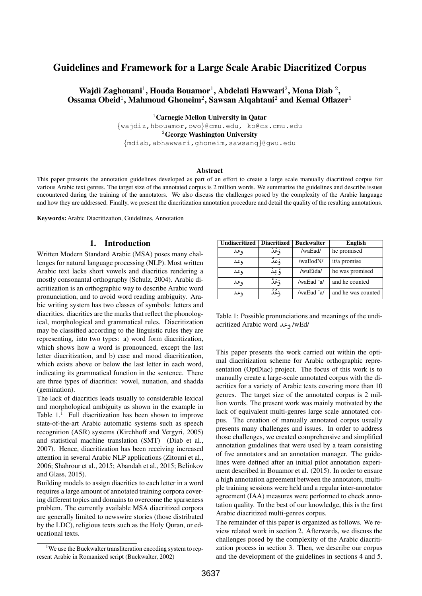# Guidelines and Framework for a Large Scale Arabic Diacritized Corpus

Wajdi Zaghouani $^1$ , Houda Bouamor $^1$ , Abdelati Hawwari $^2$ , Mona Diab  $^2$ , Ossama Obeid<sup>1</sup>, Mahmoud Ghoneim<sup>2</sup>, Sawsan Alqahtani<sup>2</sup> and Kemal Oflazer<sup>1</sup>

<sup>1</sup>Carnegie Mellon University in Qatar

{wajdiz,hbouamor,owo}@cmu.edu, ko@cs.cmu.edu

<sup>2</sup>George Washington University

{mdiab,abhawwari,ghoneim,sawsanq}@gwu.edu

#### Abstract

This paper presents the annotation guidelines developed as part of an effort to create a large scale manually diacritized corpus for various Arabic text genres. The target size of the annotated corpus is 2 million words. We summarize the guidelines and describe issues encountered during the training of the annotators. We also discuss the challenges posed by the complexity of the Arabic language and how they are addressed. Finally, we present the diacritization annotation procedure and detail the quality of the resulting annotations.

Keywords: Arabic Diacritization, Guidelines, Annotation

# 1. Introduction

Written Modern Standard Arabic (MSA) poses many challenges for natural language processing (NLP). Most written Arabic text lacks short vowels and diacritics rendering a mostly consonantal orthography (Schulz, 2004). Arabic diacritization is an orthographic way to describe Arabic word pronunciation, and to avoid word reading ambiguity. Arabic writing system has two classes of symbols: letters and diacritics. diacritics are the marks that reflect the phonological, morphological and grammatical rules. Diacritization may be classified according to the linguistic rules they are representing, into two types: a) word form diacritization, which shows how a word is pronounced, except the last letter diacritization, and b) case and mood diacritization, which exists above or below the last letter in each word, indicating its grammatical function in the sentence. There are three types of diacritics: vowel, nunation, and shadda (gemination).

The lack of diacritics leads usually to considerable lexical and morphological ambiguity as shown in the example in Table  $1<sup>1</sup>$  Full diacritization has been shown to improve state-of-the-art Arabic automatic systems such as speech recognition (ASR) systems (Kirchhoff and Vergyri, 2005) and statistical machine translation (SMT) (Diab et al., 2007). Hence, diacritization has been receiving increased attention in several Arabic NLP applications (Zitouni et al., 2006; Shahrour et al., 2015; Abandah et al., 2015; Belinkov and Glass, 2015).

Building models to assign diacritics to each letter in a word requires a large amount of annotated training corpora covering different topics and domains to overcome the sparseness problem. The currently available MSA diacritized corpora are generally limited to newswire stories (those distributed by the LDC), religious texts such as the Holy Quran, or educational texts.

| <b>Undiacritized</b> | <b>Diacritized</b> | <b>Buckwalter</b> | <b>English</b>     |
|----------------------|--------------------|-------------------|--------------------|
| وعد                  | وَعَدَ             | /waEad/           | he promised        |
| وعد                  | وَعَدَ             | /waEodN/          | it/a promise       |
| وعد                  | ۇعِدَ              | /wuEida/          | he was promised    |
| وعد                  | وَعَدَّ            | /waEad ~a/        | and he counted     |
| وعد                  | وَعَدّ             | /waEud ~a/        | and he was counted |

Table 1: Possible pronunciations and meanings of the undiacritized Arabic word رعد wEd/

This paper presents the work carried out within the optimal diacritization scheme for Arabic orthographic representation (OptDiac) project. The focus of this work is to manually create a large-scale annotated corpus with the diacritics for a variety of Arabic texts covering more than 10 genres. The target size of the annotated corpus is 2 million words. The present work was mainly motivated by the lack of equivalent multi-genres large scale annotated corpus. The creation of manually annotated corpus usually presents many challenges and issues. In order to address those challenges, we created comprehensive and simplified annotation guidelines that were used by a team consisting of five annotators and an annotation manager. The guidelines were defined after an initial pilot annotation experiment described in Bouamor et al. (2015). In order to ensure a high annotation agreement between the annotators, multiple training sessions were held and a regular inter-annotator agreement (IAA) measures were performed to check annotation quality. To the best of our knowledge, this is the first Arabic diacritized multi-genres corpus.

The remainder of this paper is organized as follows. We review related work in section 2. Afterwards, we discuss the challenges posed by the complexity of the Arabic diacritization process in section 3. Then, we describe our corpus and the development of the guidelines in sections 4 and 5.

<sup>&</sup>lt;sup>1</sup>We use the Buckwalter transliteration encoding system to represent Arabic in Romanized script (Buckwalter, 2002)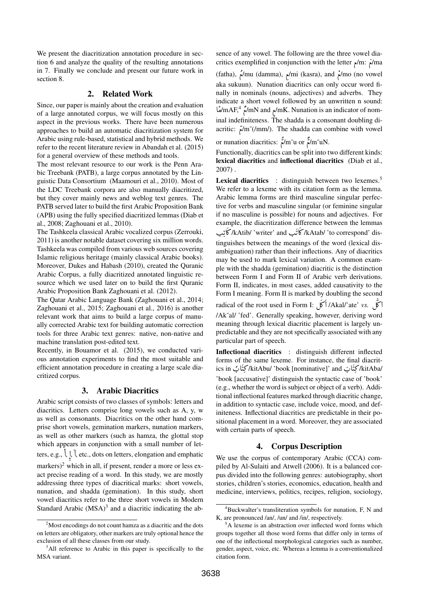We present the diacritization annotation procedure in section 6 and analyze the quality of the resulting annotations in 7. Finally we conclude and present our future work in section 8.

### 2. Related Work

Since, our paper is mainly about the creation and evaluation of a large annotated corpus, we will focus mostly on this aspect in the previous works. There have been numerous approaches to build an automatic diacritization system for Arabic using rule-based, statistical and hybrid methods. We refer to the recent literature review in Abandah et al. (2015) for a general overview of these methods and tools.

The most relevant resource to our work is the Penn Arabic Treebank (PATB), a large corpus annotated by the Linguistic Data Consortium (Maamouri et al., 2010). Most of the LDC Treebank corpora are also manually diacritized, but they cover mainly news and weblog text genres. The PATB served later to build the first Arabic Proposition Bank (APB) using the fully specified diacritized lemmas (Diab et al., 2008; Zaghouani et al., 2010).

The Tashkeela classical Arabic vocalized corpus (Zerrouki, 2011) is another notable dataset covering six million words. Tashkeela was compiled from various web sources covering Islamic religious heritage (mainly classical Arabic books). Moreover, Dukes and Habash (2010), created the Quranic Arabic Corpus, a fully diacritized annotated linguistic resource which we used later on to build the first Quranic Arabic Proposition Bank Zaghouani et al. (2012).

The Qatar Arabic Language Bank (Zaghouani et al., 2014; Zaghouani et al., 2015; Zaghouani et al., 2016) is another relevant work that aims to build a large corpus of manually corrected Arabic text for building automatic correction tools for three Arabic text genres: native, non-native and machine translation post-edited text.

Recently, in Bouamor et al. (2015), we conducted various annotation experiments to find the most suitable and efficient annotation procedure in creating a large scale diacritized corpus.

## 3. Arabic Diacritics

Arabic script consists of two classes of symbols: letters and diacritics. Letters comprise long vowels such as A, y, w as well as consonants. Diacritics on the other hand comprise short vowels, gemination markers, nunation markers, as well as other markers (such as hamza, the glottal stop which appears in conjunction with a small number of letters, e.g.,  $\hat{i}$ ,  $\hat{j}$ , etc., dots on letters, elongation and emphatic ŗ ļ إ markers)<sup>2</sup> which in all, if present, render a more or less exact precise reading of a word. In this study, we are mostly addressing three types of diacritical marks: short vowels, nunation, and shadda (gemination). In this study, short vowel diacritics refer to the three short vowels in Modern Standard Arabic  $(MSA)^3$  and a diacritic indicating the absence of any vowel. The following are the three vowel diasence of any vowel. The following are the three vowel diacritics exemplified in conjunction with the letter  $\rho$ m:  $\lambda$ m

 $\lim_{k \to \infty}$  רא חוזק (fatha),  $\lim_{k \to \infty}$  (damma),  $\lim_{k \to \infty}$  (kasra), and  $\lim_{k \to \infty}$  (no vowel j aka sukuun). Nunation diacritics can only occur word finally in nominals (nouns, adjectives) and adverbs. They indicate a short vowel followed by an unwritten n sound: ۔<br>ا  $\int$  $\frac{\epsilon}{\sqrt{m}}$ /m $\frac{\epsilon}{\sqrt{m}}$  and  $\frac{\epsilon}{\sqrt{m}}$  and  $\frac{\epsilon}{\sqrt{m}}$ . Nunation is an indicator of nom-្ង ֧֧֦֪֦֪֦֓֜֓֓֡֓֡֓֡֓֡֓֡֓֡֓֡֓֡֓֡֟֟֓֡֡֟ inal indefiniteness. The shadda is a consonant doubling diinal indefiniteness. The shadda is a consonant doubling diacritic:  $\sum_{n=1}^{\infty}$ /m  $\tilde{C}$ /mm/). The shadda can combine with vowel l, .<br>د ี<br>ผ น<br>ป

or nunation diacritics:  $\frac{2}{5}$ /m~u or  $\frac{2}{5}$ /m~uN.

Functionally, diacritics can be split into two different kinds: lexical diacritics and inflectional diacritics (Diab et al., 2007) .

Lexical diacritics : distinguish between two lexemes.<sup>5</sup> We refer to a lexeme with its citation form as the lemma. Arabic lemma forms are third masculine singular perfective for verbs and masculine singular (or feminine singular if no masculine is possible) for nouns and adjectives. For example, the diacritization difference between the lemmas rain.pre, are diastrination difference octivers are criminal.<br>KAtab/ 'to correspond' dis- كَاتَب kAtib/ 'writer' and/ a<br>. .<br>ت :<br>! .<br>I ŗ  $\frac{1}{2}$  $\frac{1}{2}$  $\frac{1}{2}$ tinguishes between the meanings of the word (lexical disambiguation) rather than their inflections. Any of diacritics may be used to mark lexical variation. A common example with the shadda (gemination) diacritic is the distinction between Form I and Form II of Arabic verb derivations. Form II, indicates, in most cases, added causativity to the Form I meaning. Form II is marked by doubling the second radical of the root used in Form I: أَكُلُّ /Akal/'ate' *vs.*  $\frac{1}{2}$  $\overline{\phantom{a}}$ ņ n<br>s /Ak˜al/ 'fed'. Generally speaking, however, deriving word meaning through lexical diacritic placement is largely unpredictable and they are not specifically associated with any particular part of speech.

Inflectional diacritics : distinguish different inflected forms of the same lexeme. For instance, the final diacrit--forms of the same lexeme. For instance, the final diacritics in سينتاب forms of the same lexeme. For instance, the final diacritics . .<br>|  $\overline{a}$  $\ddot{\phantom{0}}$ . ا.<br>ا j  $\frac{1}{2}$ 'book [accusative]' distinguish the syntactic case of 'book' (e.g., whether the word is subject or object of a verb). Additional inflectional features marked through diacritic change, in addition to syntactic case, include voice, mood, and definiteness. Inflectional diacritics are predictable in their positional placement in a word. Moreover, they are associated with certain parts of speech.

#### 4. Corpus Description

We use the corpus of contemporary Arabic (CCA) compiled by Al-Sulaiti and Atwell (2006). It is a balanced corpus divided into the following genres: autobiography, short stories, children's stories, economics, education, health and medicine, interviews, politics, recipes, religion, sociology,

<sup>&</sup>lt;sup>2</sup>Most encodings do not count hamza as a diacritic and the dots on letters are obligatory, other markers are truly optional hence the exclusion of all these classes from our study.

<sup>&</sup>lt;sup>3</sup>All reference to Arabic in this paper is specifically to the MSA variant.

<sup>4</sup>Buckwalter's transliteration symbols for nunation, F, N and K, are pronounced /an/, /un/ and /in/, respectively.

<sup>&</sup>lt;sup>5</sup>A lexeme is an abstraction over inflected word forms which groups together all those word forms that differ only in terms of one of the inflectional morphological categories such as number, gender, aspect, voice, etc. Whereas a lemma is a conventionalized citation form.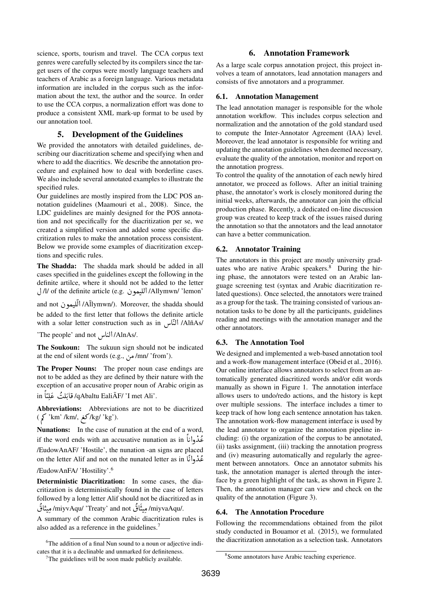science, sports, tourism and travel. The CCA corpus text genres were carefully selected by its compilers since the target users of the corpus were mostly language teachers and teachers of Arabic as a foreign language. Various metadata information are included in the corpus such as the information about the text, the author and the source. In order to use the CCA corpus, a normalization effort was done to produce a consistent XML mark-up format to be used by our annotation tool.

## 5. Development of the Guidelines

We provided the annotators with detailed guidelines, describing our diacritization scheme and specifying when and where to add the diacritics. We describe the annotation procedure and explained how to deal with borderline cases. We also include several annotated examples to illustrate the specified rules.

Our guidelines are mostly inspired from the LDC POS annotation guidelines (Maamouri et al., 2008). Since, the LDC guidelines are mainly designed for the POS annotation and not specifically for the diacritization per se, we created a simplified version and added some specific diacritization rules to make the annotation process consistent. Below we provide some examples of diacritization exceptions and specific rules.

The Shadda: The shadda mark should be added in all cases specified in the guidelines except the following in the definite artilce, where it should not be added to the letter definite artilce, where it should not be added to the letter<br>^{\dlymwn/ 'lemon' /Allymwn/ 'lemon/ الليمو ن . ו<br>"

and not مستدرس بن السدد (د.چ. مستدرس السدد). Moreover, the shadda should Ê be added to the first letter that follows the definite article<br>with a solar letter construction such as in  $\mu$ النّاس /AlñAs/ ׅ֧֢ׅ֧֢ׅ֧֧ׅ֧֦֧֦֧֚֚֚֚֚֚֚֚֚֚֚֚֚֚֚֚֚֚֚֚֚֚֚֚֚֚֚֚֚֚֡֕֡֡֡֓֡֓֡֓֡֝֬֝֝֬ with a solar letter construction such as in /AlñAs/

with a solar letter construction sut<br>/AlnAs/المناس AlnAs/.

The Soukoun: The sukuun sign should not be indicated at the end of silent words (e.g.,  $\mu$ ) mn/ 'from').

The Proper Nouns: The proper noun case endings are not to be added as they are defined by their nature with the exception of an accusative proper noun of Arabic origin as exception of an accusative proper noun of<br>in فابَلنُتْ عَلِيّاً /qAbaltu EaliÃF/ 'I met Ali'.  $\frac{1}{2}$ Í ،<br>پ j  $\overline{\phantom{a}}$ K . A ו<br>..

Abbreviations: Abbreviations are not to be diacritized  $\zeta'$ km' /km/, كغ $\frac{1}{2}$ /kg/ 'kg').

Nunations: In the case of nunation at the end of a word, n the case of nunation at the end of a word,<br>غَدْوانَاً if the word ends with an accusative nunation as in  $\frac{1}{2}$ A .<br>. l<br>、 EudowAnAF/ 'Hostile', the nunation -an signs are placed/<br>عُدْمانًا iter Alif and not on the nunated letter as in فُلْدانًا on the letter Alif and not on the nunated letter as in تَكُدْوانًا on the letter Alif and not on the nunated letter as in  $\frac{1}{2}$ ا<br>: Ċ, /EudowAnFA/ 'Hostility'.<sup>6</sup>

Deterministic Diacritization: In some cases, the diacritization is deterministically found in the case of letters followed by a long letter Alif should not be diacritized as in Ċ,  $\frac{1}{2}$ ronowed by a long letter Anit should not be diacritize<br>/miyvaAqu/ مِیثَاقُ miyvAqu/ 'Treaty' and not/ مِیثاقُ ٍ<br>ر  $\ddot{\mathbf{z}}$  $\frac{1}{2}$  $\frac{1}{2}$ 

 $\overline{\phantom{a}}$  $\overline{\mathbf{z}}$  $\overline{\phantom{a}}$  $\overline{\phantom{a}}$ 

A summary of the common Arabic diacritization rules is also added as a reference in the guidelines.<sup>7</sup>

# annotator, we proceed as follows. After an initial training

the annotation progress.

phase, the annotator's work is closely monitored during the initial weeks, afterwards, the annotator can join the official production phase. Recently, a dedicated on-line discussion group was created to keep track of the issues raised during the annotation so that the annotators and the lead annotator can have a better communication.

To control the quality of the annotation of each newly hired

6. Annotation Framework As a large scale corpus annotation project, this project involves a team of annotators, lead annotation managers and

The lead annotation manager is responsible for the whole annotation workflow. This includes corpus selection and normalization and the annotation of the gold standard used to compute the Inter-Annotator Agreement (IAA) level. Moreover, the lead annotator is responsible for writing and updating the annotation guidelines when deemed necessary, evaluate the quality of the annotation, monitor and report on

consists of five annotators and a programmer.

6.1. Annotation Management

#### 6.2. Annotator Training

The annotators in this project are mostly university graduates who are native Arabic speakers. $8$  During the hiring phase, the annotators were tested on an Arabic language screening test (syntax and Arabic diacritization related questions). Once selected, the annotators were trained as a group for the task. The training consisted of various annotation tasks to be done by all the participants, guidelines reading and meetings with the annotation manager and the other annotators.

#### 6.3. The Annotation Tool

We designed and implemented a web-based annotation tool and a work-flow management interface (Obeid et al., 2016). Our online interface allows annotators to select from an automatically generated diacritized words and/or edit words manually as shown in Figure 1. The annotation interface allows users to undo/redo actions, and the history is kept over multiple sessions. The interface includes a timer to keep track of how long each sentence annotation has taken. The annotation work-flow management interface is used by the lead annotator to organize the annotation pipeline including: (i) the organization of the corpus to be annotated, (ii) tasks assignment, (iii) tracking the annotation progress and (iv) measuring automatically and regularly the agreement between annotators. Once an annotator submits his task, the annotation manager is alerted through the interface by a green highlight of the task, as shown in Figure 2. Then, the annotation manager can view and check on the quality of the annotation (Figure 3).

#### 6.4. The Annotation Procedure

Following the recommendations obtained from the pilot study conducted in Bouamor et al. (2015), we formulated the diacritization annotation as a selection task. Annotators

<sup>&</sup>lt;sup>6</sup>The addition of a final Nun sound to a noun or adjective indicates that it is a declinable and unmarked for definiteness.

 $7$ The guidelines will be soon made publicly available.

<sup>8</sup> Some annotators have Arabic teaching experience.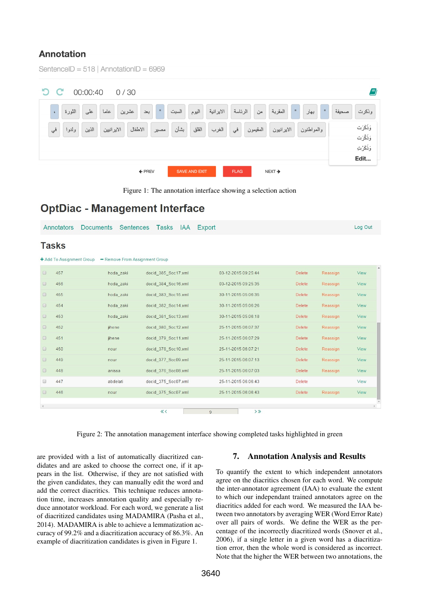# **Annotation**

 $\overline{1}$ 

 $-1018$ 

| $P$ elementer = $010$   $V$ elements = $0.007$                                                                                                                                      |                         |
|-------------------------------------------------------------------------------------------------------------------------------------------------------------------------------------|-------------------------|
| 00:00:40<br>$\mathbf C$<br>0/30                                                                                                                                                     | El                      |
| $\mathbf{u}$<br>$\vert 0 \rangle$<br>$\scriptstyle\rm II$<br>الرناسة<br>من<br>المقربة<br>الايرانية<br>اليوم<br>السبت<br>بهار<br>الثورة<br>بعد<br>عاما<br>عشرين<br>على<br>$\epsilon$ | صحيفة<br>وذكرت          |
| بشأن<br>القلق<br>الاطفال<br>الذين<br>الغرب<br>المقيمون<br>الايرانيون<br>والمواطنون<br>الاير انيين<br>في<br>ولدوا<br>في<br>مصير                                                      | وَذَكَرَت<br>وَذَكَّرَت |
|                                                                                                                                                                                     | وَذَكَرُتِ              |
| <b>FLAG</b><br><b>SAVE AND EXIT</b><br>$\leftarrow$ PREV<br>NEXT →                                                                                                                  | Edit                    |



# **OptDiac - Management Interface**

|                      | Annotators                                                               | <b>Documents</b> | Sentences | Tasks               | <b>IAA</b> | <b>Export</b>       |           |               |          | Log Out |
|----------------------|--------------------------------------------------------------------------|------------------|-----------|---------------------|------------|---------------------|-----------|---------------|----------|---------|
|                      | <b>Tasks</b><br>+ Add To Assignment Group - Remove From Assignment Group |                  |           |                     |            |                     |           |               |          |         |
| $\Box$               | 457                                                                      |                  | hoda zaki | docid 385 Soc17.xml |            | 03-12-2015 09:25:44 |           | <b>Delete</b> | Reassign | View    |
| $\Box$               | 456                                                                      |                  | hoda zaki | docid 384 Soc16.xml |            | 03-12-2015 09:25:35 |           | <b>Delete</b> | Reassign | View    |
| $\Box$               | 455                                                                      |                  | hoda zaki | docid 383 Soc15.xml |            | 30-11-2015 05:06:35 |           | <b>Delete</b> | Reassign | View    |
| $\Box$               | 454                                                                      |                  | hoda zaki | docid 382 Soc14.xml |            | 30-11-2015 05:06:26 |           | Delete        | Reassign | View    |
| $\Box$               | 453                                                                      |                  | hoda zaki | docid 381 Soc13.xml |            | 30-11-2015 05:06:18 |           | <b>Delete</b> | Reassign | View    |
| $\Box$               | 452                                                                      | jihene           |           | docid 380 Soc12.xml |            | 25-11-2015 06:07:37 |           | <b>Delete</b> | Reassign | View    |
| $\Box$               | 451                                                                      | jihene           |           | docid 379 Soc11.xml |            | 25-11-2015 06:07:29 |           | <b>Delete</b> | Reassign | View    |
| $\Box$               | 450                                                                      | nour             |           | docid 378 Soc10.xml |            | 25-11-2015 06:07:21 |           | <b>Delete</b> | Reassign | View    |
| $\Box$               | 449                                                                      | nour             |           | docid 377 Soc09.xml |            | 25-11-2015 06:07:13 |           | <b>Delete</b> | Reassign | View    |
| $\qquad \qquad \Box$ | 448                                                                      | anissa           |           | docid 376 Soc08.xml |            | 25-11-2015 06:07:03 |           | <b>Delete</b> | Reassign | View    |
| $\qquad \qquad \Box$ | 447                                                                      | abdelati         |           | docid 375 Soc07.xml |            | 25-11-2015 06:06:43 |           | Delete        |          | View    |
| $\qquad \qquad \Box$ | 446                                                                      | nour             |           | docid 375 Soc07.xml |            | 25-11-2015 06:06:43 |           | <b>Delete</b> | Reassign | View    |
| $\blacktriangleleft$ |                                                                          |                  |           | くく                  |            | $\overline{9}$      | $>$ $\gg$ |               |          |         |

Figure 2: The annotation management interface showing completed tasks highlighted in green

are provided with a list of automatically diacritized candidates and are asked to choose the correct one, if it appears in the list. Otherwise, if they are not satisfied with the given candidates, they can manually edit the word and add the correct diacritics. This technique reduces annotation time, increases annotation quality and especially reduce annotator workload. For each word, we generate a list of diacritized candidates using MADAMIRA (Pasha et al., 2014). MADAMIRA is able to achieve a lemmatization accuracy of 99.2% and a diacritization accuracy of 86.3%. An example of diacritization candidates is given in Figure 1.

#### 7. Annotation Analysis and Results

To quantify the extent to which independent annotators agree on the diacritics chosen for each word. We compute the inter-annotator agreement (IAA) to evaluate the extent to which our independant trained annotators agree on the diacritics added for each word. We measured the IAA between two annotators by averaging WER (Word Error Rate) over all pairs of words. We define the WER as the percentage of the incorrectly diacritized words (Snover et al., 2006), if a single letter in a given word has a diacritization error, then the whole word is considered as incorrect. Note that the higher the WER between two annotations, the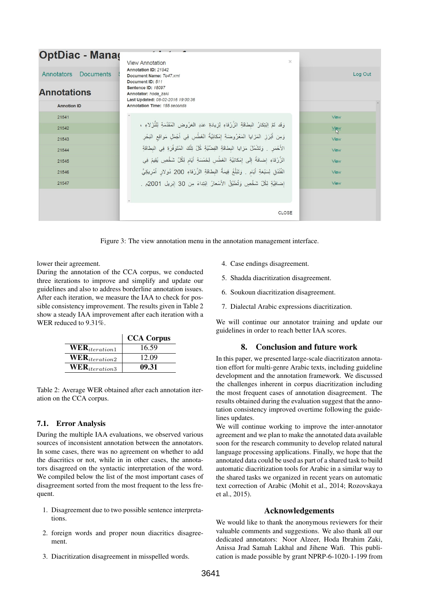| <b>OptDiac - Manag</b>         |                                                                                                           |             |
|--------------------------------|-----------------------------------------------------------------------------------------------------------|-------------|
| Annotators<br><b>Documents</b> | $\times$<br><b>View Annotation</b><br>Annotation ID: 21542<br>Document Name: To47.xml<br>Document ID: 511 | Log Out     |
| <b>Annotations</b>             | Sentence ID: 18097<br>Annotator: hoda zaki<br>Last Updated: 08-02-2016 19:00:36                           |             |
| <b>Annotion ID</b>             | Annotation Time: 155 seconds                                                                              |             |
| 21541                          |                                                                                                           | View        |
| 21542                          | وَقَد تَمَّ اِبْتِكَارُ البطَاقَةِ الزَّرْقَاءِ لِزِيادَةٍ عَدَدِ العَرُوضِ المُقَدَّمَةِ لِلنَّزَلاءِ ،  | <b>View</b> |
| 21543                          | وَمِن أَبْرَرْ الْمَرْايا الْمَعْرُوضَةِ إِمْكَانِيَّةُ الْعَطْسِ فِي أَجْمَلِ مَواقِعِ البَحْرِ          | View        |
| 21544                          | الأَحْمَرِ . وَتَشْمُلُ مَرْايا البطاقَةِ الْفِضِّيَّةِ كُلَّ تِلْكَ الْمُتَوَفِّرَةِ فِي البطاقَةِ       | View        |
| 21545                          | الزَّرْقاءِ إضافَةٌ إِلَى إِمْكَانِيَّةِ الغَطْسِ لِخَمْسَةِ أَيّامٍ لِكُلِّ شَخْصٍ يُقِيمُ فِي           | View        |
| 21546                          | الفُنْدُقِ لِسَبْعَةِ أَيَامٍ . وَتَبْلُغُ قِيمَةُ البطاقَةِ الزَّرْقاءِ 200 دُولار أَمْرِيكِيٍّ          | View        |
| 21547                          | إِصْلِقِيَّةٍ لِكُلِّ شَخْصٍ وَتُطَبِّقُ الأَسْعارُ اِبْتِداءً مِن 30 إِبْرِيل 2001م .                    | View        |
|                                |                                                                                                           |             |
|                                | <b>CLOSE</b>                                                                                              |             |

Figure 3: The view annotation menu in the annotation management interface.

lower their agreement.

During the annotation of the CCA corpus, we conducted three iterations to improve and simplify and update our guidelines and also to address borderline annotation issues. After each iteration, we measure the IAA to check for possible consistency improvement. The results given in Table 2 show a steady IAA improvement after each iteration with a WER reduced to 9.31%.

|                             | <b>CCA Corpus</b> |
|-----------------------------|-------------------|
| $WERiteration1$             | 16.59             |
| $\mathbf{WER}_{iteration2}$ | 12.09             |
| $\mathbf{WER}_{iteration3}$ | 09.31             |

Table 2: Average WER obtained after each annotation iteration on the CCA corpus.

# 7.1. Error Analysis

During the multiple IAA evaluations, we observed various sources of inconsistent annotation between the annotators. In some cases, there was no agreement on whether to add the diacritics or not, while in in other cases, the annotators disagreed on the syntactic interpretation of the word. We compiled below the list of the most important cases of disagreement sorted from the most frequent to the less frequent.

- 1. Disagreement due to two possible sentence interpretations.
- 2. foreign words and proper noun diacritics disagreement.
- 3. Diacritization disagreement in misspelled words.
- 4. Case endings disagreement.
- 5. Shadda diacritization disagreement.
- 6. Soukoun diacritization disagreement.
- 7. Dialectal Arabic expressions diacritization.

We will continue our annotator training and update our guidelines in order to reach better IAA scores.

# 8. Conclusion and future work

In this paper, we presented large-scale diacritizaton annotation effort for multi-genre Arabic texts, including guideline development and the annotation framework. We discussed the challenges inherent in corpus diacritization including the most frequent cases of annotation disagreement. The results obtained during the evaluation suggest that the annotation consistency improved overtime following the guidelines updates.

We will continue working to improve the inter-annotator agreement and we plan to make the annotated data available soon for the research community to develop related natural language processing applications. Finally, we hope that the annotated data could be used as part of a shared task to build automatic diacritization tools for Arabic in a similar way to the shared tasks we organized in recent years on automatic text correction of Arabic (Mohit et al., 2014; Rozovskaya et al., 2015).

# Acknowledgements

We would like to thank the anonymous reviewers for their valuable comments and suggestions. We also thank all our dedicated annotators: Noor Alzeer, Hoda Ibrahim Zaki, Anissa Jrad Samah Lakhal and Jihene Wafi. This publication is made possible by grant NPRP-6-1020-1-199 from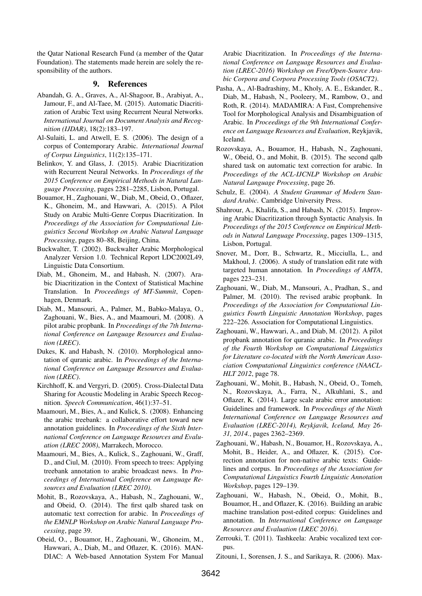the Qatar National Research Fund (a member of the Qatar Foundation). The statements made herein are solely the responsibility of the authors.

#### 9. References

- Abandah, G. A., Graves, A., Al-Shagoor, B., Arabiyat, A., Jamour, F., and Al-Taee, M. (2015). Automatic Diacritization of Arabic Text using Recurrent Neural Networks. *International Journal on Document Analysis and Recognition (IJDAR)*, 18(2):183–197.
- Al-Sulaiti, L. and Atwell, E. S. (2006). The design of a corpus of Contemporary Arabic. *International Journal of Corpus Linguistics*, 11(2):135–171.
- Belinkov, Y. and Glass, J. (2015). Arabic Diacritization with Recurrent Neural Networks. In *Proceedings of the 2015 Conference on Empirical Methods in Natural Language Processing*, pages 2281–2285, Lisbon, Portugal.
- Bouamor, H., Zaghouani, W., Diab, M., Obeid, O., Oflazer, K., Ghoneim, M., and Hawwari, A. (2015). A Pilot Study on Arabic Multi-Genre Corpus Diacritization. In *Proceedings of the Association for Computational Linguistics Second Workshop on Arabic Natural Language Processing*, pages 80–88, Beijing, China.
- Buckwalter, T. (2002). Buckwalter Arabic Morphological Analyzer Version 1.0. Technical Report LDC2002L49, Linguistic Data Consortium.
- Diab, M., Ghoneim, M., and Habash, N. (2007). Arabic Diacritization in the Context of Statistical Machine Translation. In *Proceedings of MT-Summit*, Copenhagen, Denmark.
- Diab, M., Mansouri, A., Palmer, M., Babko-Malaya, O., Zaghouani, W., Bies, A., and Maamouri, M. (2008). A pilot arabic propbank. In *Proceedings of the 7th International Conference on Language Resources and Evaluation (LREC)*.
- Dukes, K. and Habash, N. (2010). Morphological annotation of quranic arabic. In *Proceedings of the International Conference on Language Resources and Evaluation (LREC)*.
- Kirchhoff, K. and Vergyri, D. (2005). Cross-Dialectal Data Sharing for Acoustic Modeling in Arabic Speech Recognition. *Speech Communication*, 46(1):37–51.
- Maamouri, M., Bies, A., and Kulick, S. (2008). Enhancing the arabic treebank: a collaborative effort toward new annotation guidelines. In *Proceedings of the Sixth International Conference on Language Resources and Evaluation (LREC 2008)*, Marrakech, Morocco.
- Maamouri, M., Bies, A., Kulick, S., Zaghouani, W., Graff, D., and Ciul, M. (2010). From speech to trees: Applying treebank annotation to arabic broadcast news. In *Proceedings of International Conference on Language Resources and Evaluation (LREC 2010)*.
- Mohit, B., Rozovskaya, A., Habash, N., Zaghouani, W., and Obeid, O. (2014). The first qalb shared task on automatic text correction for arabic. In *Proceedings of the EMNLP Workshop on Arabic Natural Language Processing*, page 39.
- Obeid, O., , Bouamor, H., Zaghouani, W., Ghoneim, M., Hawwari, A., Diab, M., and Oflazer, K. (2016). MAN-DIAC: A Web-based Annotation System For Manual

Arabic Diacritization. In *Proceedings of the International Conference on Language Resources and Evaluation (LREC-2016) Workshop on Free/Open-Source Arabic Corpora and Corpora Processing Tools (OSACT2)*.

- Pasha, A., Al-Badrashiny, M., Kholy, A. E., Eskander, R., Diab, M., Habash, N., Pooleery, M., Rambow, O., and Roth, R. (2014). MADAMIRA: A Fast, Comprehensive Tool for Morphological Analysis and Disambiguation of Arabic. In *Proceedings of the 9th International Conference on Language Resources and Evaluation*, Reykjavik, Iceland.
- Rozovskaya, A., Bouamor, H., Habash, N., Zaghouani, W., Obeid, O., and Mohit, B. (2015). The second qalb shared task on automatic text correction for arabic. In *Proceedings of the ACL-IJCNLP Workshop on Arabic Natural Language Processing*, page 26.
- Schulz, E. (2004). *A Student Grammar of Modern Standard Arabic*. Cambridge University Press.
- Shahrour, A., Khalifa, S., and Habash, N. (2015). Improving Arabic Diacritization through Syntactic Analysis. In *Proceedings of the 2015 Conference on Empirical Methods in Natural Language Processing*, pages 1309–1315, Lisbon, Portugal.
- Snover, M., Dorr, B., Schwartz, R., Micciulla, L., and Makhoul, J. (2006). A study of translation edit rate with targeted human annotation. In *Proceedings of AMTA*, pages 223–231.
- Zaghouani, W., Diab, M., Mansouri, A., Pradhan, S., and Palmer, M. (2010). The revised arabic propbank. In *Proceedings of the Association for Computational Linguistics Fourth Linguistic Annotation Workshop*, pages 222–226. Association for Computational Linguistics.
- Zaghouani, W., Hawwari, A., and Diab, M. (2012). A pilot propbank annotation for quranic arabic. In *Proceedings of the Fourth Workshop on Computational Linguistics for Literature co-located with the North American Association Computational Linguistics conference (NAACL-HLT 2012*, page 78.
- Zaghouani, W., Mohit, B., Habash, N., Obeid, O., Tomeh, N., Rozovskaya, A., Farra, N., Alkuhlani, S., and Oflazer, K. (2014). Large scale arabic error annotation: Guidelines and framework. In *Proceedings of the Ninth International Conference on Language Resources and Evaluation (LREC-2014), Reykjavik, Iceland, May 26- 31, 2014.*, pages 2362–2369.
- Zaghouani, W., Habash, N., Bouamor, H., Rozovskaya, A., Mohit, B., Heider, A., and Oflazer, K. (2015). Correction annotation for non-native arabic texts: Guidelines and corpus. In *Proceedings of the Association for Computational Linguistics Fourth Linguistic Annotation Workshop*, pages 129–139.
- Zaghouani, W., Habash, N., Obeid, O., Mohit, B., Bouamor, H., and Oflazer, K. (2016). Building an arabic machine translation post-edited corpus: Guidelines and annotation. In *International Conference on Language Resources and Evaluation (LREC 2016)*.
- Zerrouki, T. (2011). Tashkeela: Arabic vocalized text corpus.
- Zitouni, I., Sorensen, J. S., and Sarikaya, R. (2006). Max-